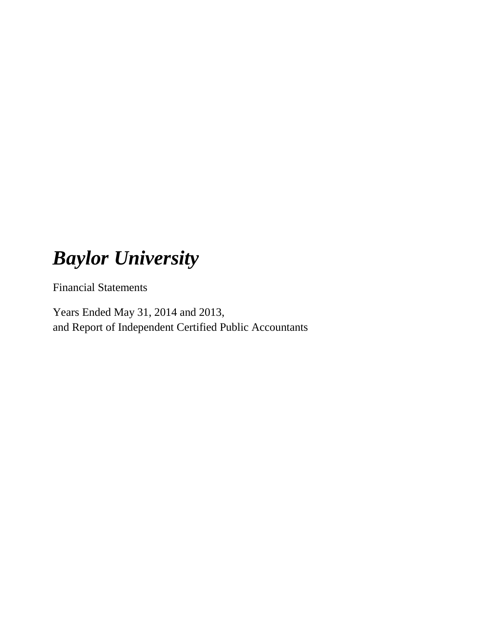# *Baylor University*

Financial Statements

Years Ended May 31, 2014 and 2013, and Report of Independent Certified Public Accountants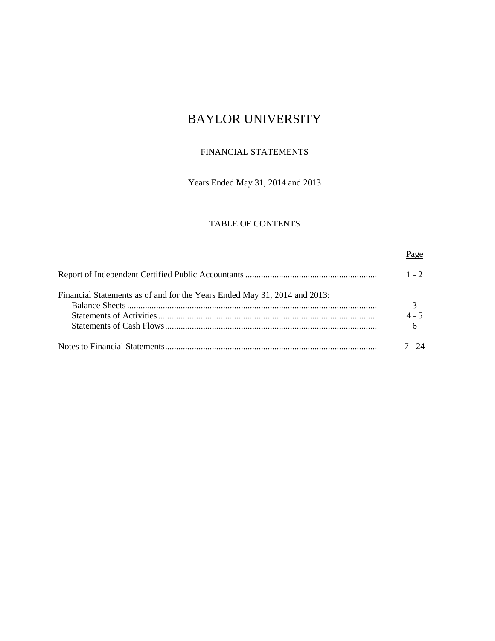## BAYLOR UNIVERSITY

## FINANCIAL STATEMENTS

Years Ended May 31, 2014 and 2013

## TABLE OF CONTENTS

|                                                                           | $1 - 2$ |
|---------------------------------------------------------------------------|---------|
| Financial Statements as of and for the Years Ended May 31, 2014 and 2013: |         |
|                                                                           |         |
|                                                                           | 4 - 5   |
|                                                                           | 6       |
|                                                                           | $-24$   |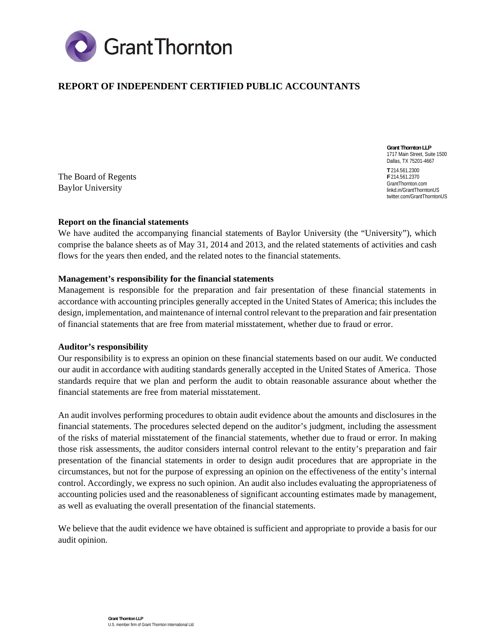

## **REPORT OF INDEPENDENT CERTIFIED PUBLIC ACCOUNTANTS**

The Board of Regents Baylor University

**Grant Thornton LLP**  1717 Main Street, Suite 1500 Dallas, TX 75201-4667

**T** 214.561.2300 **F** 214.561.2370 GrantThornton.com linkd.in/GrantThorntonUS twitter.com/GrantThorntonUS

## **Report on the financial statements**

We have audited the accompanying financial statements of Baylor University (the "University"), which comprise the balance sheets as of May 31, 2014 and 2013, and the related statements of activities and cash flows for the years then ended, and the related notes to the financial statements.

## **Management's responsibility for the financial statements**

Management is responsible for the preparation and fair presentation of these financial statements in accordance with accounting principles generally accepted in the United States of America; this includes the design, implementation, and maintenance of internal control relevant to the preparation and fair presentation of financial statements that are free from material misstatement, whether due to fraud or error.

#### **Auditor's responsibility**

Our responsibility is to express an opinion on these financial statements based on our audit. We conducted our audit in accordance with auditing standards generally accepted in the United States of America. Those standards require that we plan and perform the audit to obtain reasonable assurance about whether the financial statements are free from material misstatement.

An audit involves performing procedures to obtain audit evidence about the amounts and disclosures in the financial statements. The procedures selected depend on the auditor's judgment, including the assessment of the risks of material misstatement of the financial statements, whether due to fraud or error. In making those risk assessments, the auditor considers internal control relevant to the entity's preparation and fair presentation of the financial statements in order to design audit procedures that are appropriate in the circumstances, but not for the purpose of expressing an opinion on the effectiveness of the entity's internal control. Accordingly, we express no such opinion. An audit also includes evaluating the appropriateness of accounting policies used and the reasonableness of significant accounting estimates made by management, as well as evaluating the overall presentation of the financial statements.

We believe that the audit evidence we have obtained is sufficient and appropriate to provide a basis for our audit opinion.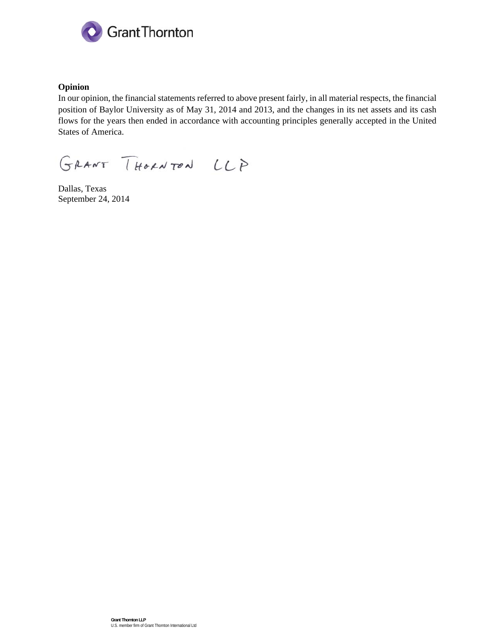

## **Opinion**

In our opinion, the financial statements referred to above present fairly, in all material respects, the financial position of Baylor University as of May 31, 2014 and 2013, and the changes in its net assets and its cash flows for the years then ended in accordance with accounting principles generally accepted in the United States of America.

GRANT THORNTON LLP

Dallas, Texas September 24, 2014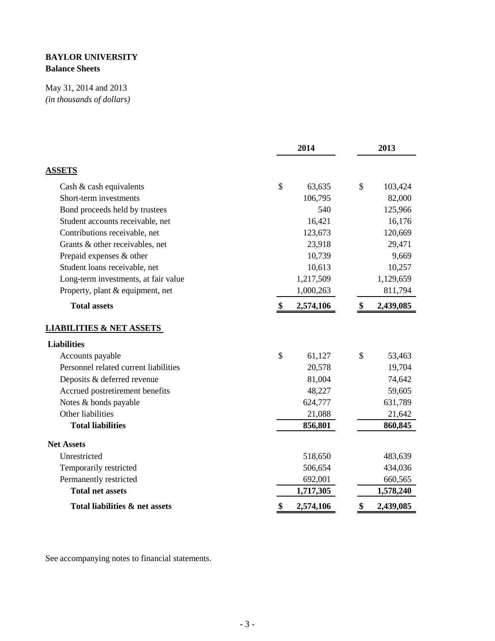## **BAYLOR UNIVERSITY Balance Sheets**

May 31, 2014 and 2013 *(in thousands of dollars)*

|                                       |               | 2014      | 2013 |           |  |
|---------------------------------------|---------------|-----------|------|-----------|--|
| <b>ASSETS</b>                         |               |           |      |           |  |
| Cash & cash equivalents               | $\mathcal{S}$ | 63,635    | \$   | 103,424   |  |
| Short-term investments                |               | 106,795   |      | 82,000    |  |
| Bond proceeds held by trustees        |               | 540       |      | 125,966   |  |
| Student accounts receivable, net      |               | 16,421    |      | 16,176    |  |
| Contributions receivable, net         |               | 123,673   |      | 120,669   |  |
| Grants & other receivables, net       |               | 23,918    |      | 29,471    |  |
| Prepaid expenses & other              |               | 10,739    |      | 9,669     |  |
| Student loans receivable, net         |               | 10,613    |      | 10,257    |  |
| Long-term investments, at fair value  |               | 1,217,509 |      | 1,129,659 |  |
| Property, plant & equipment, net      |               | 1,000,263 |      | 811,794   |  |
| <b>Total assets</b>                   | \$            | 2,574,106 | \$   | 2,439,085 |  |
| <u>LIABILITIES &amp; NET ASSETS</u>   |               |           |      |           |  |
| <b>Liabilities</b>                    |               |           |      |           |  |
| Accounts payable                      | \$            | 61,127    | \$   | 53,463    |  |
| Personnel related current liabilities |               | 20,578    |      | 19,704    |  |
| Deposits & deferred revenue           |               | 81,004    |      | 74,642    |  |
| Accrued postretirement benefits       |               | 48,227    |      | 59,605    |  |
| Notes & bonds payable                 |               | 624,777   |      | 631,789   |  |
| Other liabilities                     |               | 21,088    |      | 21,642    |  |
| <b>Total liabilities</b>              |               | 856,801   |      | 860,845   |  |
| <b>Net Assets</b>                     |               |           |      |           |  |
| Unrestricted                          |               | 518,650   |      | 483,639   |  |
| Temporarily restricted                |               | 506,654   |      | 434,036   |  |
| Permanently restricted                |               | 692,001   |      | 660,565   |  |
| <b>Total net assets</b>               |               | 1,717,305 |      | 1,578,240 |  |
| Total liabilities & net assets        | \$            | 2,574,106 | \$   | 2,439,085 |  |

See accompanying notes to financial statements.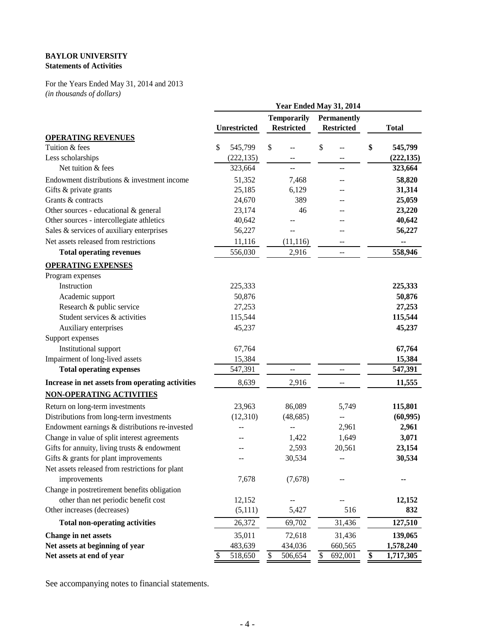#### **BAYLOR UNIVERSITY Statements of Activities**

For the Years Ended May 31, 2014 and 2013 *(in thousands of dollars)*

|                                                  |               | <b>Temporarily</b> | <b>Permanently</b> |                 |
|--------------------------------------------------|---------------|--------------------|--------------------|-----------------|
|                                                  | Unrestricted  | <b>Restricted</b>  | <b>Restricted</b>  | <b>Total</b>    |
| <b>OPERATING REVENUES</b>                        |               |                    |                    |                 |
| Tuition & fees                                   | \$<br>545,799 | \$                 | \$                 | \$<br>545,799   |
| Less scholarships                                | (222, 135)    |                    | --                 | (222, 135)      |
| Net tuition & fees                               | 323,664       | 44                 |                    | 323,664         |
| Endowment distributions & investment income      | 51,352        | 7,468              |                    | 58,820          |
| Gifts & private grants                           | 25,185        | 6,129              |                    | 31,314          |
| Grants & contracts                               | 24,670        | 389                |                    | 25,059          |
| Other sources - educational & general            | 23,174        | 46                 |                    | 23,220          |
| Other sources - intercollegiate athletics        | 40,642        |                    |                    | 40,642          |
| Sales & services of auxiliary enterprises        | 56,227        |                    |                    | 56,227          |
| Net assets released from restrictions            | 11,116        | (11, 116)          | --                 | ⊷               |
| <b>Total operating revenues</b>                  | 556,030       | 2,916              |                    | 558,946         |
| <b>OPERATING EXPENSES</b>                        |               |                    |                    |                 |
| Program expenses                                 |               |                    |                    |                 |
| Instruction                                      | 225,333       |                    |                    | 225,333         |
| Academic support                                 | 50,876        |                    |                    | 50,876          |
| Research & public service                        | 27,253        |                    |                    | 27,253          |
| Student services & activities                    | 115,544       |                    |                    | 115,544         |
| Auxiliary enterprises                            | 45,237        |                    |                    | 45,237          |
| Support expenses                                 |               |                    |                    |                 |
| Institutional support                            | 67,764        |                    |                    | 67,764          |
| Impairment of long-lived assets                  | 15,384        |                    |                    | 15,384          |
| <b>Total operating expenses</b>                  | 547,391       | --                 |                    | 547,391         |
| Increase in net assets from operating activities | 8,639         | 2,916              |                    | 11,555          |
| <b>NON-OPERATING ACTIVITIES</b>                  |               |                    |                    |                 |
| Return on long-term investments                  | 23,963        | 86,089             | 5,749              | 115,801         |
| Distributions from long-term investments         | (12,310)      | (48, 685)          |                    | (60, 995)       |
| Endowment earnings & distributions re-invested   |               |                    | 2,961              | 2,961           |
| Change in value of split interest agreements     |               | 1,422              | 1,649              | 3,071           |
| Gifts for annuity, living trusts & endowment     |               | 2,593              | 20,561             | 23,154          |
| Gifts & grants for plant improvements            |               | 30,534             | --                 | 30,534          |
| Net assets released from restrictions for plant  |               |                    |                    |                 |
| improvements                                     | 7,678         | (7,678)            |                    |                 |
| Change in postretirement benefits obligation     |               |                    |                    |                 |
| other than net periodic benefit cost             | 12,152        | --                 |                    | 12,152          |
| Other increases (decreases)                      | (5,111)       | 5,427              | 516                | 832             |
| <b>Total non-operating activities</b>            | 26,372        | 69,702             | 31,436             | 127,510         |
| <b>Change in net assets</b>                      | 35,011        | 72,618             | 31,436             | 139,065         |
| Net assets at beginning of year                  | 483,639       | 434,036            | 660,565            | 1,578,240       |
| Net assets at end of year                        | \$<br>518,650 | \$<br>506,654      | \$<br>692,001      | \$<br>1,717,305 |

See accompanying notes to financial statements.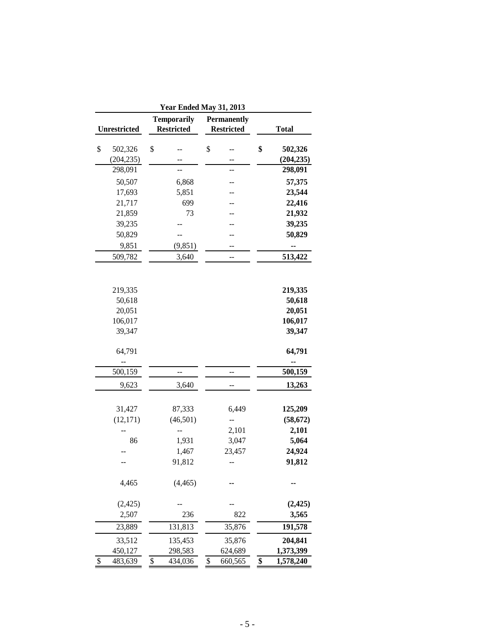|               | Year Ended May 31, 2013                 |                                         |                 |
|---------------|-----------------------------------------|-----------------------------------------|-----------------|
| Unrestricted  | <b>Temporarily</b><br><b>Restricted</b> | <b>Permanently</b><br><b>Restricted</b> | <b>Total</b>    |
|               |                                         |                                         |                 |
| \$<br>502,326 | \$                                      | \$                                      | \$<br>502,326   |
| (204, 235)    |                                         |                                         | (204, 235)      |
| 298,091       |                                         |                                         | 298,091         |
| 50,507        | 6,868                                   |                                         | 57,375          |
| 17,693        | 5,851                                   |                                         | 23,544          |
| 21,717        | 699                                     |                                         | 22,416          |
| 21,859        | 73                                      |                                         | 21,932          |
| 39,235        |                                         |                                         | 39,235          |
| 50,829        |                                         |                                         | 50,829          |
| 9,851         | (9, 851)                                | --                                      |                 |
| 509,782       | 3,640                                   |                                         | 513,422         |
|               |                                         |                                         |                 |
| 219,335       |                                         |                                         | 219,335         |
| 50,618        |                                         |                                         | 50,618          |
| 20,051        |                                         |                                         | 20,051          |
| 106,017       |                                         |                                         | 106,017         |
| 39,347        |                                         |                                         | 39,347          |
| 64,791        |                                         |                                         | 64,791          |
| 500,159       | --                                      | --                                      | 500,159         |
|               |                                         |                                         |                 |
| 9,623         | 3,640                                   |                                         | 13,263          |
| 31,427        | 87,333                                  | 6,449                                   | 125,209         |
| (12, 171)     | (46, 501)                               |                                         | (58, 672)       |
|               |                                         | 2,101                                   | 2,101           |
| 86            | 1,931                                   | 3,047                                   | 5,064           |
|               | 1,467                                   | 23,457                                  | 24,924          |
|               | 91,812                                  | $-$                                     | 91,812          |
| 4,465         | (4, 465)                                |                                         |                 |
| (2, 425)      |                                         |                                         | (2, 425)        |
| 2,507         | 236                                     | 822                                     | 3,565           |
| 23,889        | 131,813                                 | 35,876                                  | 191,578         |
| 33,512        | 135,453                                 | 35,876                                  | 204,841         |
| 450,127       | 298,583                                 | 624,689                                 | 1,373,399       |
| \$<br>483,639 | \$<br>434,036                           | \$<br>660,565                           | \$<br>1,578,240 |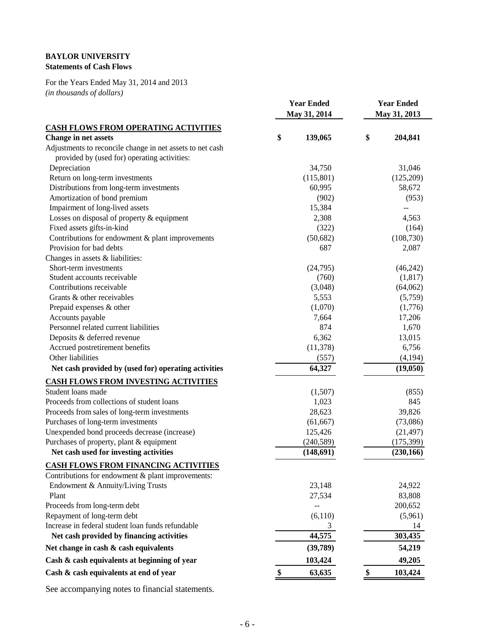## **BAYLOR UNIVERSITY Statements of Cash Flows**

For the Years Ended May 31, 2014 and 2013 *(in thousands of dollars)*

|                                                           | <b>Year Ended</b><br>May 31, 2014 | <b>Year Ended</b><br>May 31, 2013 |  |  |  |
|-----------------------------------------------------------|-----------------------------------|-----------------------------------|--|--|--|
| <b>CASH FLOWS FROM OPERATING ACTIVITIES</b>               |                                   |                                   |  |  |  |
| Change in net assets                                      | \$<br>139,065                     | \$<br>204,841                     |  |  |  |
| Adjustments to reconcile change in net assets to net cash |                                   |                                   |  |  |  |
| provided by (used for) operating activities:              |                                   |                                   |  |  |  |
| Depreciation                                              | 34,750                            | 31,046                            |  |  |  |
| Return on long-term investments                           | (115, 801)                        | (125,209)                         |  |  |  |
| Distributions from long-term investments                  | 60,995                            | 58,672                            |  |  |  |
| Amortization of bond premium                              | (902)                             | (953)                             |  |  |  |
| Impairment of long-lived assets                           | 15,384                            |                                   |  |  |  |
| Losses on disposal of property & equipment                | 2,308                             | 4,563                             |  |  |  |
| Fixed assets gifts-in-kind                                | (322)                             | (164)                             |  |  |  |
| Contributions for endowment & plant improvements          | (50, 682)                         | (108, 730)                        |  |  |  |
| Provision for bad debts                                   | 687                               | 2,087                             |  |  |  |
| Changes in assets & liabilities:                          |                                   |                                   |  |  |  |
| Short-term investments                                    | (24,795)                          | (46, 242)                         |  |  |  |
| Student accounts receivable                               | (760)                             | (1, 817)                          |  |  |  |
| Contributions receivable                                  | (3,048)                           | (64,062)                          |  |  |  |
| Grants & other receivables                                | 5,553                             | (5,759)                           |  |  |  |
| Prepaid expenses & other                                  | (1,070)                           | (1,776)                           |  |  |  |
| Accounts payable                                          | 7,664                             | 17,206                            |  |  |  |
| Personnel related current liabilities                     | 874                               | 1,670                             |  |  |  |
| Deposits & deferred revenue                               | 6,362                             | 13,015                            |  |  |  |
| Accrued postretirement benefits                           | (11, 378)                         | 6,756                             |  |  |  |
| Other liabilities                                         | (557)                             | (4,194)                           |  |  |  |
| Net cash provided by (used for) operating activities      | 64,327                            | (19,050)                          |  |  |  |
| <b>CASH FLOWS FROM INVESTING ACTIVITIES</b>               |                                   |                                   |  |  |  |
| Student loans made                                        | (1,507)                           | (855)                             |  |  |  |
| Proceeds from collections of student loans                | 1,023                             | 845                               |  |  |  |
| Proceeds from sales of long-term investments              | 28,623                            | 39,826                            |  |  |  |
| Purchases of long-term investments                        | (61, 667)                         | (73,086)                          |  |  |  |
| Unexpended bond proceeds decrease (increase)              | 125,426                           | (21, 497)                         |  |  |  |
| Purchases of property, plant & equipment                  | (240, 589)                        | (175, 399)                        |  |  |  |
| Net cash used for investing activities                    | (148,691)                         | (230, 166)                        |  |  |  |
| <b>CASH FLOWS FROM FINANCING ACTIVITIES</b>               |                                   |                                   |  |  |  |
| Contributions for endowment & plant improvements:         |                                   |                                   |  |  |  |
| Endowment & Annuity/Living Trusts                         | 23,148                            | 24,922                            |  |  |  |
| Plant                                                     | 27,534                            | 83,808                            |  |  |  |
| Proceeds from long-term debt                              | $-$                               | 200,652                           |  |  |  |
| Repayment of long-term debt                               | (6,110)                           | (5,961)                           |  |  |  |
| Increase in federal student loan funds refundable         | 3                                 | 14                                |  |  |  |
| Net cash provided by financing activities                 | 44,575                            | 303,435                           |  |  |  |
| Net change in cash & cash equivalents                     | (39,789)                          | 54,219                            |  |  |  |
| Cash & cash equivalents at beginning of year              | 103,424                           | 49,205                            |  |  |  |
| Cash & cash equivalents at end of year                    | \$<br>63,635                      | 103,424<br>\$                     |  |  |  |

See accompanying notes to financial statements.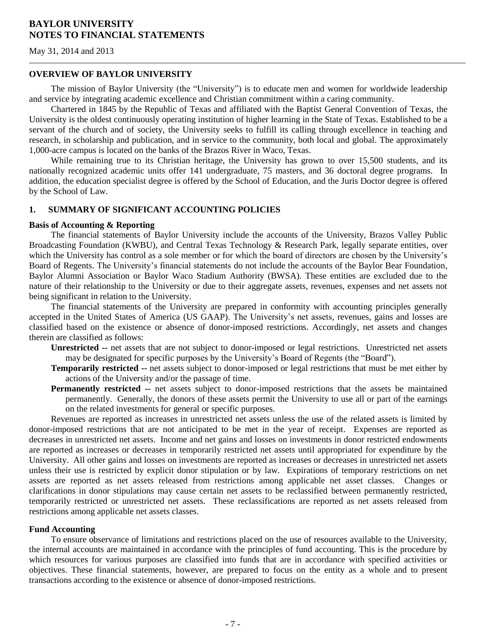May 31, 2014 and 2013

#### **OVERVIEW OF BAYLOR UNIVERSITY**

The mission of Baylor University (the "University") is to educate men and women for worldwide leadership and service by integrating academic excellence and Christian commitment within a caring community.

Chartered in 1845 by the Republic of Texas and affiliated with the Baptist General Convention of Texas, the University is the oldest continuously operating institution of higher learning in the State of Texas. Established to be a servant of the church and of society, the University seeks to fulfill its calling through excellence in teaching and research, in scholarship and publication, and in service to the community, both local and global. The approximately 1,000-acre campus is located on the banks of the Brazos River in Waco, Texas.

While remaining true to its Christian heritage, the University has grown to over 15,500 students, and its nationally recognized academic units offer 141 undergraduate, 75 masters, and 36 doctoral degree programs. In addition, the education specialist degree is offered by the School of Education, and the Juris Doctor degree is offered by the School of Law.

#### **1. SUMMARY OF SIGNIFICANT ACCOUNTING POLICIES**

#### **Basis of Accounting & Reporting**

The financial statements of Baylor University include the accounts of the University, Brazos Valley Public Broadcasting Foundation (KWBU), and Central Texas Technology & Research Park, legally separate entities, over which the University has control as a sole member or for which the board of directors are chosen by the University's Board of Regents. The University's financial statements do not include the accounts of the Baylor Bear Foundation, Baylor Alumni Association or Baylor Waco Stadium Authority (BWSA). These entities are excluded due to the nature of their relationship to the University or due to their aggregate assets, revenues, expenses and net assets not being significant in relation to the University.

The financial statements of the University are prepared in conformity with accounting principles generally accepted in the United States of America (US GAAP). The University's net assets, revenues, gains and losses are classified based on the existence or absence of donor-imposed restrictions. Accordingly, net assets and changes therein are classified as follows:

- **Unrestricted --** net assets that are not subject to donor-imposed or legal restrictions. Unrestricted net assets may be designated for specific purposes by the University's Board of Regents (the "Board").
- **Temporarily restricted --** net assets subject to donor-imposed or legal restrictions that must be met either by actions of the University and/or the passage of time.
- **Permanently restricted --** net assets subject to donor-imposed restrictions that the assets be maintained permanently. Generally, the donors of these assets permit the University to use all or part of the earnings on the related investments for general or specific purposes.

Revenues are reported as increases in unrestricted net assets unless the use of the related assets is limited by donor-imposed restrictions that are not anticipated to be met in the year of receipt. Expenses are reported as decreases in unrestricted net assets. Income and net gains and losses on investments in donor restricted endowments are reported as increases or decreases in temporarily restricted net assets until appropriated for expenditure by the University. All other gains and losses on investments are reported as increases or decreases in unrestricted net assets unless their use is restricted by explicit donor stipulation or by law. Expirations of temporary restrictions on net assets are reported as net assets released from restrictions among applicable net asset classes. Changes or clarifications in donor stipulations may cause certain net assets to be reclassified between permanently restricted, temporarily restricted or unrestricted net assets. These reclassifications are reported as net assets released from restrictions among applicable net assets classes.

#### **Fund Accounting**

To ensure observance of limitations and restrictions placed on the use of resources available to the University, the internal accounts are maintained in accordance with the principles of fund accounting. This is the procedure by which resources for various purposes are classified into funds that are in accordance with specified activities or objectives. These financial statements, however, are prepared to focus on the entity as a whole and to present transactions according to the existence or absence of donor-imposed restrictions.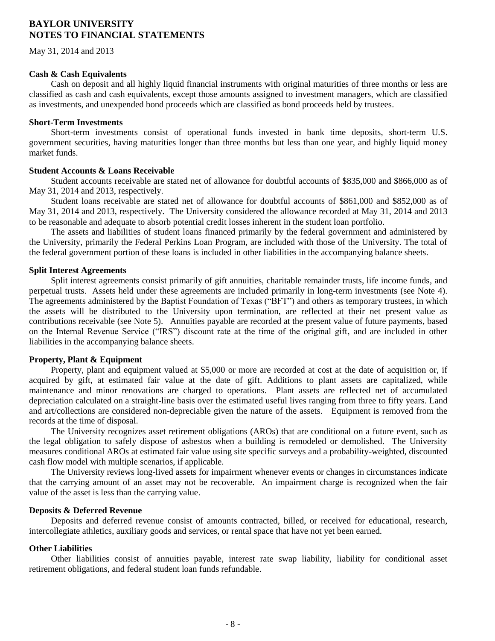May 31, 2014 and 2013

#### **Cash & Cash Equivalents**

Cash on deposit and all highly liquid financial instruments with original maturities of three months or less are classified as cash and cash equivalents, except those amounts assigned to investment managers, which are classified as investments, and unexpended bond proceeds which are classified as bond proceeds held by trustees.

#### **Short-Term Investments**

Short-term investments consist of operational funds invested in bank time deposits, short-term U.S. government securities, having maturities longer than three months but less than one year, and highly liquid money market funds.

#### **Student Accounts & Loans Receivable**

Student accounts receivable are stated net of allowance for doubtful accounts of \$835,000 and \$866,000 as of May 31, 2014 and 2013, respectively.

Student loans receivable are stated net of allowance for doubtful accounts of \$861,000 and \$852,000 as of May 31, 2014 and 2013, respectively. The University considered the allowance recorded at May 31, 2014 and 2013 to be reasonable and adequate to absorb potential credit losses inherent in the student loan portfolio.

The assets and liabilities of student loans financed primarily by the federal government and administered by the University, primarily the Federal Perkins Loan Program, are included with those of the University. The total of the federal government portion of these loans is included in other liabilities in the accompanying balance sheets.

#### **Split Interest Agreements**

Split interest agreements consist primarily of gift annuities, charitable remainder trusts, life income funds, and perpetual trusts. Assets held under these agreements are included primarily in long-term investments (see Note 4). The agreements administered by the Baptist Foundation of Texas ("BFT") and others as temporary trustees, in which the assets will be distributed to the University upon termination, are reflected at their net present value as contributions receivable (see Note 5). Annuities payable are recorded at the present value of future payments, based on the Internal Revenue Service ("IRS") discount rate at the time of the original gift, and are included in other liabilities in the accompanying balance sheets.

#### **Property, Plant & Equipment**

Property, plant and equipment valued at \$5,000 or more are recorded at cost at the date of acquisition or, if acquired by gift, at estimated fair value at the date of gift. Additions to plant assets are capitalized, while maintenance and minor renovations are charged to operations. Plant assets are reflected net of accumulated depreciation calculated on a straight-line basis over the estimated useful lives ranging from three to fifty years. Land and art/collections are considered non-depreciable given the nature of the assets. Equipment is removed from the records at the time of disposal.

The University recognizes asset retirement obligations (AROs) that are conditional on a future event, such as the legal obligation to safely dispose of asbestos when a building is remodeled or demolished. The University measures conditional AROs at estimated fair value using site specific surveys and a probability-weighted, discounted cash flow model with multiple scenarios, if applicable.

The University reviews long-lived assets for impairment whenever events or changes in circumstances indicate that the carrying amount of an asset may not be recoverable. An impairment charge is recognized when the fair value of the asset is less than the carrying value.

#### **Deposits & Deferred Revenue**

Deposits and deferred revenue consist of amounts contracted, billed, or received for educational, research, intercollegiate athletics, auxiliary goods and services, or rental space that have not yet been earned.

#### **Other Liabilities**

Other liabilities consist of annuities payable, interest rate swap liability, liability for conditional asset retirement obligations, and federal student loan funds refundable.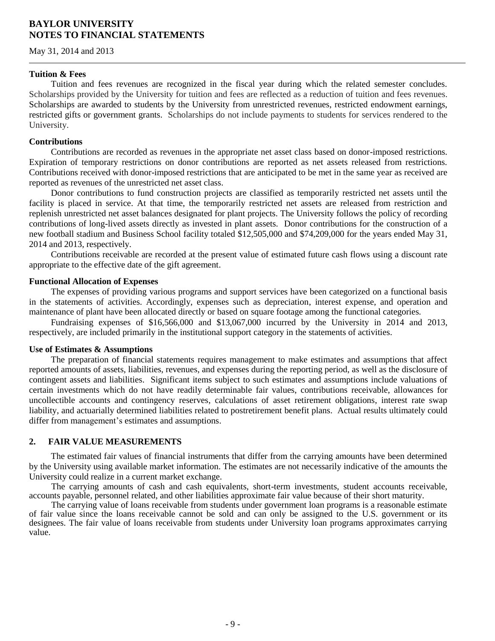May 31, 2014 and 2013

#### **Tuition & Fees**

Tuition and fees revenues are recognized in the fiscal year during which the related semester concludes. Scholarships provided by the University for tuition and fees are reflected as a reduction of tuition and fees revenues. Scholarships are awarded to students by the University from unrestricted revenues, restricted endowment earnings, restricted gifts or government grants. Scholarships do not include payments to students for services rendered to the University.

#### **Contributions**

Contributions are recorded as revenues in the appropriate net asset class based on donor-imposed restrictions. Expiration of temporary restrictions on donor contributions are reported as net assets released from restrictions. Contributions received with donor-imposed restrictions that are anticipated to be met in the same year as received are reported as revenues of the unrestricted net asset class.

Donor contributions to fund construction projects are classified as temporarily restricted net assets until the facility is placed in service. At that time, the temporarily restricted net assets are released from restriction and replenish unrestricted net asset balances designated for plant projects. The University follows the policy of recording contributions of long-lived assets directly as invested in plant assets. Donor contributions for the construction of a new football stadium and Business School facility totaled \$12,505,000 and \$74,209,000 for the years ended May 31, 2014 and 2013, respectively.

Contributions receivable are recorded at the present value of estimated future cash flows using a discount rate appropriate to the effective date of the gift agreement.

#### **Functional Allocation of Expenses**

The expenses of providing various programs and support services have been categorized on a functional basis in the statements of activities. Accordingly, expenses such as depreciation, interest expense, and operation and maintenance of plant have been allocated directly or based on square footage among the functional categories.

Fundraising expenses of \$16,566,000 and \$13,067,000 incurred by the University in 2014 and 2013, respectively, are included primarily in the institutional support category in the statements of activities.

#### **Use of Estimates & Assumptions**

The preparation of financial statements requires management to make estimates and assumptions that affect reported amounts of assets, liabilities, revenues, and expenses during the reporting period, as well as the disclosure of contingent assets and liabilities. Significant items subject to such estimates and assumptions include valuations of certain investments which do not have readily determinable fair values, contributions receivable, allowances for uncollectible accounts and contingency reserves, calculations of asset retirement obligations, interest rate swap liability, and actuarially determined liabilities related to postretirement benefit plans. Actual results ultimately could differ from management's estimates and assumptions.

## **2. FAIR VALUE MEASUREMENTS**

The estimated fair values of financial instruments that differ from the carrying amounts have been determined by the University using available market information. The estimates are not necessarily indicative of the amounts the University could realize in a current market exchange.

The carrying amounts of cash and cash equivalents, short-term investments, student accounts receivable, accounts payable, personnel related, and other liabilities approximate fair value because of their short maturity.

The carrying value of loans receivable from students under government loan programs is a reasonable estimate of fair value since the loans receivable cannot be sold and can only be assigned to the U.S. government or its designees. The fair value of loans receivable from students under University loan programs approximates carrying value.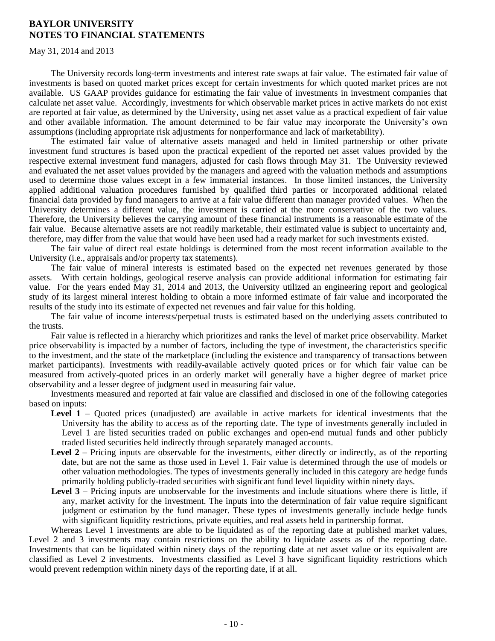#### May 31, 2014 and 2013

The University records long-term investments and interest rate swaps at fair value. The estimated fair value of investments is based on quoted market prices except for certain investments for which quoted market prices are not available. US GAAP provides guidance for estimating the fair value of investments in investment companies that calculate net asset value. Accordingly, investments for which observable market prices in active markets do not exist are reported at fair value, as determined by the University, using net asset value as a practical expedient of fair value and other available information. The amount determined to be fair value may incorporate the University's own assumptions (including appropriate risk adjustments for nonperformance and lack of marketability).

The estimated fair value of alternative assets managed and held in limited partnership or other private investment fund structures is based upon the practical expedient of the reported net asset values provided by the respective external investment fund managers, adjusted for cash flows through May 31. The University reviewed and evaluated the net asset values provided by the managers and agreed with the valuation methods and assumptions used to determine those values except in a few immaterial instances. In those limited instances, the University applied additional valuation procedures furnished by qualified third parties or incorporated additional related financial data provided by fund managers to arrive at a fair value different than manager provided values. When the University determines a different value, the investment is carried at the more conservative of the two values. Therefore, the University believes the carrying amount of these financial instruments is a reasonable estimate of the fair value. Because alternative assets are not readily marketable, their estimated value is subject to uncertainty and, therefore, may differ from the value that would have been used had a ready market for such investments existed.

The fair value of direct real estate holdings is determined from the most recent information available to the University (i.e., appraisals and/or property tax statements).

The fair value of mineral interests is estimated based on the expected net revenues generated by those assets. With certain holdings, geological reserve analysis can provide additional information for estimating fair value. For the years ended May 31, 2014 and 2013, the University utilized an engineering report and geological study of its largest mineral interest holding to obtain a more informed estimate of fair value and incorporated the results of the study into its estimate of expected net revenues and fair value for this holding.

The fair value of income interests/perpetual trusts is estimated based on the underlying assets contributed to the trusts.

Fair value is reflected in a hierarchy which prioritizes and ranks the level of market price observability. Market price observability is impacted by a number of factors, including the type of investment, the characteristics specific to the investment, and the state of the marketplace (including the existence and transparency of transactions between market participants). Investments with readily-available actively quoted prices or for which fair value can be measured from actively-quoted prices in an orderly market will generally have a higher degree of market price observability and a lesser degree of judgment used in measuring fair value.

Investments measured and reported at fair value are classified and disclosed in one of the following categories based on inputs:

- Level 1 Quoted prices (unadjusted) are available in active markets for identical investments that the University has the ability to access as of the reporting date. The type of investments generally included in Level 1 are listed securities traded on public exchanges and open-end mutual funds and other publicly traded listed securities held indirectly through separately managed accounts.
- Level 2 Pricing inputs are observable for the investments, either directly or indirectly, as of the reporting date, but are not the same as those used in Level 1. Fair value is determined through the use of models or other valuation methodologies. The types of investments generally included in this category are hedge funds primarily holding publicly-traded securities with significant fund level liquidity within ninety days.
- **Level 3** Pricing inputs are unobservable for the investments and include situations where there is little, if any, market activity for the investment. The inputs into the determination of fair value require significant judgment or estimation by the fund manager. These types of investments generally include hedge funds with significant liquidity restrictions, private equities, and real assets held in partnership format.

Whereas Level 1 investments are able to be liquidated as of the reporting date at published market values, Level 2 and 3 investments may contain restrictions on the ability to liquidate assets as of the reporting date. Investments that can be liquidated within ninety days of the reporting date at net asset value or its equivalent are classified as Level 2 investments. Investments classified as Level 3 have significant liquidity restrictions which would prevent redemption within ninety days of the reporting date, if at all.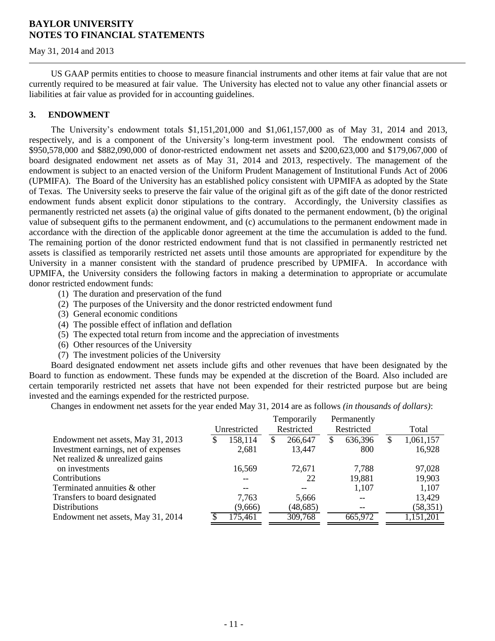#### May 31, 2014 and 2013

US GAAP permits entities to choose to measure financial instruments and other items at fair value that are not currently required to be measured at fair value. The University has elected not to value any other financial assets or liabilities at fair value as provided for in accounting guidelines.

#### **3. ENDOWMENT**

The University's endowment totals \$1,151,201,000 and \$1,061,157,000 as of May 31, 2014 and 2013, respectively, and is a component of the University's long-term investment pool. The endowment consists of \$950,578,000 and \$882,090,000 of donor-restricted endowment net assets and \$200,623,000 and \$179,067,000 of board designated endowment net assets as of May 31, 2014 and 2013, respectively. The management of the endowment is subject to an enacted version of the Uniform Prudent Management of Institutional Funds Act of 2006 (UPMIFA). The Board of the University has an established policy consistent with UPMIFA as adopted by the State of Texas. The University seeks to preserve the fair value of the original gift as of the gift date of the donor restricted endowment funds absent explicit donor stipulations to the contrary. Accordingly, the University classifies as permanently restricted net assets (a) the original value of gifts donated to the permanent endowment, (b) the original value of subsequent gifts to the permanent endowment, and (c) accumulations to the permanent endowment made in accordance with the direction of the applicable donor agreement at the time the accumulation is added to the fund. The remaining portion of the donor restricted endowment fund that is not classified in permanently restricted net assets is classified as temporarily restricted net assets until those amounts are appropriated for expenditure by the University in a manner consistent with the standard of prudence prescribed by UPMIFA. In accordance with UPMIFA, the University considers the following factors in making a determination to appropriate or accumulate donor restricted endowment funds:

- (1) The duration and preservation of the fund
- (2) The purposes of the University and the donor restricted endowment fund
- (3) General economic conditions
- (4) The possible effect of inflation and deflation
- (5) The expected total return from income and the appreciation of investments
- (6) Other resources of the University
- (7) The investment policies of the University

Board designated endowment net assets include gifts and other revenues that have been designated by the Board to function as endowment. These funds may be expended at the discretion of the Board. Also included are certain temporarily restricted net assets that have not been expended for their restricted purpose but are being invested and the earnings expended for the restricted purpose.

Changes in endowment net assets for the year ended May 31, 2014 are as follows *(in thousands of dollars)*:

| Unrestricted |         |    | Restricted |             | Restricted |             | Total     |
|--------------|---------|----|------------|-------------|------------|-------------|-----------|
|              | 158,114 | S. | 266,647    | S           | 636,396    | S           | 1,061,157 |
|              | 2,681   |    | 13,447     |             | 800        |             | 16,928    |
|              |         |    |            |             |            |             |           |
|              | 16,569  |    | 72,671     |             | 7,788      |             | 97,028    |
|              |         |    | 22         |             | 19,881     |             | 19,903    |
|              |         |    |            |             | 1,107      |             | 1,107     |
|              | 7,763   |    | 5,666      |             |            |             | 13,429    |
|              | (9,666) |    | (48, 685)  |             |            |             | (58, 351) |
|              | 175,461 |    | 309,768    |             | 665,972    |             | 1,151,201 |
|              |         |    |            | Temporarily |            | Permanently |           |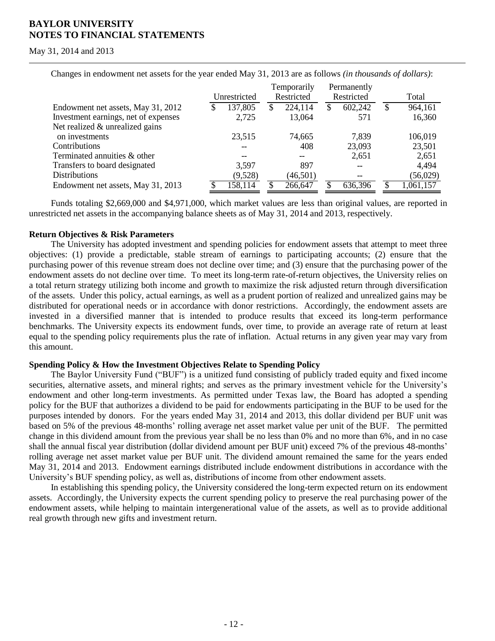#### May 31, 2014 and 2013

|                                      |   | Unrestricted | Temporarily<br>Restricted |   | Permanently<br>Restricted |    | Total     |
|--------------------------------------|---|--------------|---------------------------|---|---------------------------|----|-----------|
| Endowment net assets, May 31, 2012   | S | 137,805      | \$<br>224,114             | S | 602,242                   | \$ | 964,161   |
| Investment earnings, net of expenses |   | 2,725        | 13,064                    |   | 571                       |    | 16,360    |
| Net realized & unrealized gains      |   |              |                           |   |                           |    |           |
| on investments                       |   | 23,515       | 74,665                    |   | 7,839                     |    | 106,019   |
| Contributions                        |   |              | 408                       |   | 23,093                    |    | 23,501    |
| Terminated annuities & other         |   |              | --                        |   | 2,651                     |    | 2,651     |
| Transfers to board designated        |   | 3,597        | 897                       |   | --                        |    | 4,494     |
| <b>Distributions</b>                 |   | (9,528)      | (46,501)                  |   |                           |    | (56,029)  |
| Endowment net assets, May 31, 2013   |   | 158,114      | 266,647                   |   | 636,396                   | S  | 1,061,157 |

Changes in endowment net assets for the year ended May 31, 2013 are as follows *(in thousands of dollars)*:

Funds totaling \$2,669,000 and \$4,971,000, which market values are less than original values, are reported in unrestricted net assets in the accompanying balance sheets as of May 31, 2014 and 2013, respectively.

#### **Return Objectives & Risk Parameters**

The University has adopted investment and spending policies for endowment assets that attempt to meet three objectives: (1) provide a predictable, stable stream of earnings to participating accounts; (2) ensure that the purchasing power of this revenue stream does not decline over time; and (3) ensure that the purchasing power of the endowment assets do not decline over time. To meet its long-term rate-of-return objectives, the University relies on a total return strategy utilizing both income and growth to maximize the risk adjusted return through diversification of the assets. Under this policy, actual earnings, as well as a prudent portion of realized and unrealized gains may be distributed for operational needs or in accordance with donor restrictions. Accordingly, the endowment assets are invested in a diversified manner that is intended to produce results that exceed its long-term performance benchmarks. The University expects its endowment funds, over time, to provide an average rate of return at least equal to the spending policy requirements plus the rate of inflation. Actual returns in any given year may vary from this amount.

#### **Spending Policy & How the Investment Objectives Relate to Spending Policy**

The Baylor University Fund ("BUF") is a unitized fund consisting of publicly traded equity and fixed income securities, alternative assets, and mineral rights; and serves as the primary investment vehicle for the University's endowment and other long-term investments. As permitted under Texas law, the Board has adopted a spending policy for the BUF that authorizes a dividend to be paid for endowments participating in the BUF to be used for the purposes intended by donors. For the years ended May 31, 2014 and 2013, this dollar dividend per BUF unit was based on 5% of the previous 48-months' rolling average net asset market value per unit of the BUF. The permitted change in this dividend amount from the previous year shall be no less than 0% and no more than 6%, and in no case shall the annual fiscal year distribution (dollar dividend amount per BUF unit) exceed 7% of the previous 48-months' rolling average net asset market value per BUF unit. The dividend amount remained the same for the years ended May 31, 2014 and 2013. Endowment earnings distributed include endowment distributions in accordance with the University's BUF spending policy, as well as, distributions of income from other endowment assets.

In establishing this spending policy, the University considered the long-term expected return on its endowment assets. Accordingly, the University expects the current spending policy to preserve the real purchasing power of the endowment assets, while helping to maintain intergenerational value of the assets, as well as to provide additional real growth through new gifts and investment return.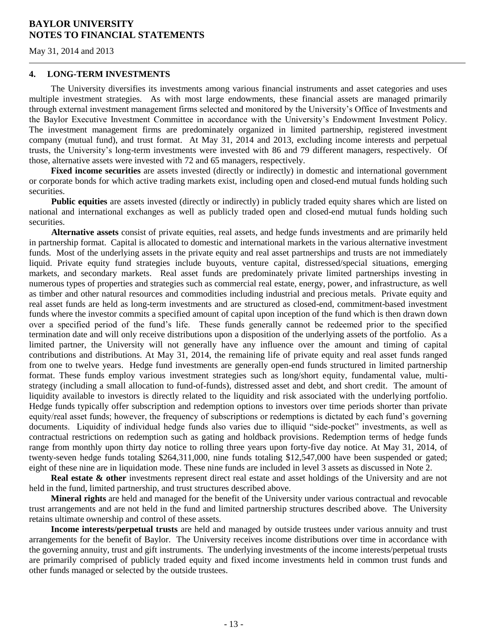May 31, 2014 and 2013

#### **4. LONG-TERM INVESTMENTS**

The University diversifies its investments among various financial instruments and asset categories and uses multiple investment strategies. As with most large endowments, these financial assets are managed primarily through external investment management firms selected and monitored by the University's Office of Investments and the Baylor Executive Investment Committee in accordance with the University's Endowment Investment Policy. The investment management firms are predominately organized in limited partnership, registered investment company (mutual fund), and trust format. At May 31, 2014 and 2013, excluding income interests and perpetual trusts, the University's long-term investments were invested with 86 and 79 different managers, respectively. Of those, alternative assets were invested with 72 and 65 managers, respectively.

**Fixed income securities** are assets invested (directly or indirectly) in domestic and international government or corporate bonds for which active trading markets exist, including open and closed-end mutual funds holding such securities.

**Public equities** are assets invested (directly or indirectly) in publicly traded equity shares which are listed on national and international exchanges as well as publicly traded open and closed-end mutual funds holding such securities.

**Alternative assets** consist of private equities, real assets, and hedge funds investments and are primarily held in partnership format. Capital is allocated to domestic and international markets in the various alternative investment funds. Most of the underlying assets in the private equity and real asset partnerships and trusts are not immediately liquid. Private equity fund strategies include buyouts, venture capital, distressed/special situations, emerging markets, and secondary markets. Real asset funds are predominately private limited partnerships investing in numerous types of properties and strategies such as commercial real estate, energy, power, and infrastructure, as well as timber and other natural resources and commodities including industrial and precious metals. Private equity and real asset funds are held as long-term investments and are structured as closed-end, commitment-based investment funds where the investor commits a specified amount of capital upon inception of the fund which is then drawn down over a specified period of the fund's life. These funds generally cannot be redeemed prior to the specified termination date and will only receive distributions upon a disposition of the underlying assets of the portfolio. As a limited partner, the University will not generally have any influence over the amount and timing of capital contributions and distributions. At May 31, 2014, the remaining life of private equity and real asset funds ranged from one to twelve years. Hedge fund investments are generally open-end funds structured in limited partnership format. These funds employ various investment strategies such as long/short equity, fundamental value, multistrategy (including a small allocation to fund-of-funds), distressed asset and debt, and short credit. The amount of liquidity available to investors is directly related to the liquidity and risk associated with the underlying portfolio. Hedge funds typically offer subscription and redemption options to investors over time periods shorter than private equity/real asset funds; however, the frequency of subscriptions or redemptions is dictated by each fund's governing documents. Liquidity of individual hedge funds also varies due to illiquid "side-pocket" investments, as well as contractual restrictions on redemption such as gating and holdback provisions. Redemption terms of hedge funds range from monthly upon thirty day notice to rolling three years upon forty-five day notice. At May 31, 2014, of twenty-seven hedge funds totaling \$264,311,000, nine funds totaling \$12,547,000 have been suspended or gated; eight of these nine are in liquidation mode. These nine funds are included in level 3 assets as discussed in Note 2.

**Real estate & other** investments represent direct real estate and asset holdings of the University and are not held in the fund, limited partnership, and trust structures described above.

**Mineral rights** are held and managed for the benefit of the University under various contractual and revocable trust arrangements and are not held in the fund and limited partnership structures described above. The University retains ultimate ownership and control of these assets.

**Income interests/perpetual trusts** are held and managed by outside trustees under various annuity and trust arrangements for the benefit of Baylor. The University receives income distributions over time in accordance with the governing annuity, trust and gift instruments. The underlying investments of the income interests/perpetual trusts are primarily comprised of publicly traded equity and fixed income investments held in common trust funds and other funds managed or selected by the outside trustees.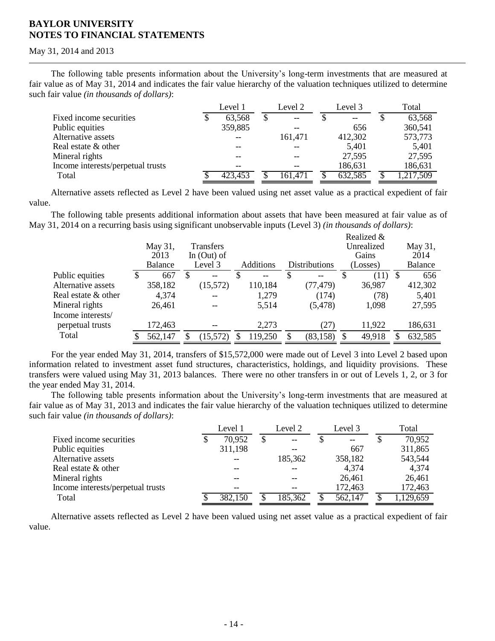#### May 31, 2014 and 2013

The following table presents information about the University's long-term investments that are measured at fair value as of May 31, 2014 and indicates the fair value hierarchy of the valuation techniques utilized to determine such fair value *(in thousands of dollars)*:

|                                   | Level 1 | Level 2 | Level 3 | Total    |
|-----------------------------------|---------|---------|---------|----------|
| Fixed income securities           | 63,568  |         | $- -$   | 63,568   |
| Public equities                   | 359,885 |         | 656     | 360,541  |
| Alternative assets                |         | 161,471 | 412,302 | 573,773  |
| Real estate & other               |         |         | 5,401   | 5,401    |
| Mineral rights                    |         |         | 27,595  | 27,595   |
| Income interests/perpetual trusts |         |         | 186,631 | 186,631  |
| Total                             | 423,453 | 61.471  | 632,585 | ,217,509 |

Alternative assets reflected as Level 2 have been valued using net asset value as a practical expedient of fair value.

The following table presents additional information about assets that have been measured at fair value as of May 31, 2014 on a recurring basis using significant unobservable inputs (Level 3) *(in thousands of dollars)*:

|                     |   | May 31,<br>2013<br><b>Balance</b> |    | Transfers<br>In $(Out)$ of<br>Level 3 | Additions                                   | <b>Distributions</b> |   | Realized &<br>Unrealized<br>Gains<br>(Losses) | May 31,<br>2014<br>Balance |
|---------------------|---|-----------------------------------|----|---------------------------------------|---------------------------------------------|----------------------|---|-----------------------------------------------|----------------------------|
| Public equities     | S | 667                               | \$ | $-$                                   | \$<br>$\hspace{0.05cm}$ – $\hspace{0.05cm}$ | $- -$                | S | (11)                                          | 656                        |
| Alternative assets  |   | 358,182                           |    | (15,572)                              | 110,184                                     | (77, 479)            |   | 36,987                                        | 412,302                    |
| Real estate & other |   | 4,374                             |    | --                                    | 1,279                                       | (174)                |   | (78)                                          | 5,401                      |
| Mineral rights      |   | 26,461                            |    | --                                    | 5,514                                       | (5, 478)             |   | 1,098                                         | 27,595                     |
| Income interests/   |   |                                   |    |                                       |                                             |                      |   |                                               |                            |
| perpetual trusts    |   | 172,463                           |    | --                                    | 2,273                                       | (27)                 |   | 11,922                                        | 186,631                    |
| Total               |   | 562,147                           | S  | (15, 572)                             | 119,250                                     | (83, 158)            |   | 49,918                                        | 632,585                    |

For the year ended May 31, 2014, transfers of \$15,572,000 were made out of Level 3 into Level 2 based upon information related to investment asset fund structures, characteristics, holdings, and liquidity provisions. These transfers were valued using May 31, 2013 balances. There were no other transfers in or out of Levels 1, 2, or 3 for the year ended May 31, 2014.

The following table presents information about the University's long-term investments that are measured at fair value as of May 31, 2013 and indicates the fair value hierarchy of the valuation techniques utilized to determine such fair value *(in thousands of dollars)*:

|                                   | Level 1 | Level 2 | Level 3 | Total    |
|-----------------------------------|---------|---------|---------|----------|
| Fixed income securities           | 70,952  |         | $-$     | 70,952   |
| Public equities                   | 311,198 |         | 667     | 311,865  |
| Alternative assets                |         | 185,362 | 358,182 | 543,544  |
| Real estate $&$ other             |         |         | 4,374   | 4,374    |
| Mineral rights                    |         |         | 26,461  | 26,461   |
| Income interests/perpetual trusts |         | --      | 172,463 | 172,463  |
| Total                             | 382,150 | 185,362 | 562,147 | ,129,659 |

Alternative assets reflected as Level 2 have been valued using net asset value as a practical expedient of fair value.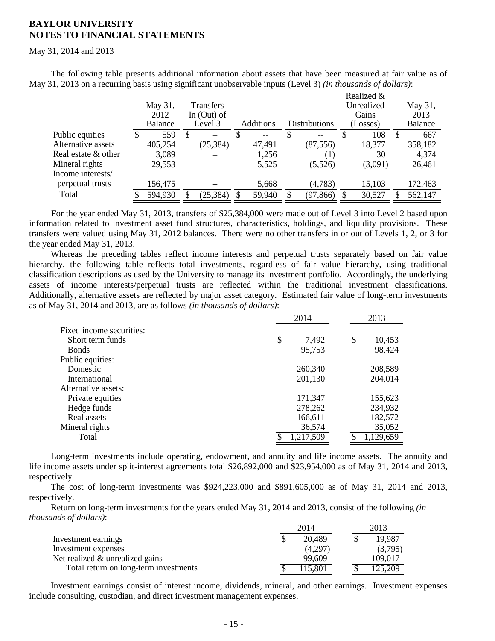#### May 31, 2014 and 2013

|                     | May 31,<br>2012 |               | <b>Transfers</b><br>In $(Out)$ of |    |                          |   |                      |    | Realized &<br>Unrealized<br>Gains |               | May 31,<br>2013 |
|---------------------|-----------------|---------------|-----------------------------------|----|--------------------------|---|----------------------|----|-----------------------------------|---------------|-----------------|
|                     | <b>Balance</b>  |               | Level 3                           |    | Additions                |   | <b>Distributions</b> |    | (Losses)                          |               | <b>Balance</b>  |
| Public equities     | \$<br>559       | <sup>\$</sup> |                                   | S  | $\overline{\phantom{m}}$ |   |                      | S  | 108                               | <sup>\$</sup> | 667             |
| Alternative assets  | 405,254         |               | (25, 384)                         |    | 47,491                   |   | (87, 556)            |    | 18,377                            |               | 358,182         |
| Real estate & other | 3,089           |               | --                                |    | 1,256                    |   | (1)                  |    | 30                                |               | 4,374           |
| Mineral rights      | 29,553          |               | --                                |    | 5,525                    |   | (5,526)              |    | (3,091)                           |               | 26,461          |
| Income interests/   |                 |               |                                   |    |                          |   |                      |    |                                   |               |                 |
| perpetual trusts    | 156,475         |               |                                   |    | 5,668                    |   | (4,783)              |    | 15,103                            |               | 172,463         |
| Total               | 594,930         | S             | (25, 384)                         | \$ | 59,940                   | S | (97, 866)            | \$ | 30,527                            |               | 562,147         |

The following table presents additional information about assets that have been measured at fair value as of May 31, 2013 on a recurring basis using significant unobservable inputs (Level 3) *(in thousands of dollars)*:

For the year ended May 31, 2013, transfers of \$25,384,000 were made out of Level 3 into Level 2 based upon information related to investment asset fund structures, characteristics, holdings, and liquidity provisions. These transfers were valued using May 31, 2012 balances. There were no other transfers in or out of Levels 1, 2, or 3 for the year ended May 31, 2013.

Whereas the preceding tables reflect income interests and perpetual trusts separately based on fair value hierarchy, the following table reflects total investments, regardless of fair value hierarchy, using traditional classification descriptions as used by the University to manage its investment portfolio. Accordingly, the underlying assets of income interests/perpetual trusts are reflected within the traditional investment classifications. Additionally, alternative assets are reflected by major asset category. Estimated fair value of long-term investments as of May 31, 2014 and 2013, are as follows *(in thousands of dollars)*:

|                          |    | 2013     |              |
|--------------------------|----|----------|--------------|
| Fixed income securities: |    |          |              |
| Short term funds         | \$ | 7,492    | \$<br>10,453 |
| <b>Bonds</b>             |    | 95,753   | 98,424       |
| Public equities:         |    |          |              |
| Domestic                 |    | 260,340  | 208,589      |
| International            |    | 201,130  | 204,014      |
| Alternative assets:      |    |          |              |
| Private equities         |    | 171,347  | 155,623      |
| Hedge funds              |    | 278,262  | 234,932      |
| Real assets              |    | 166,611  | 182,572      |
| Mineral rights           |    | 36,574   | 35,052       |
| Total                    |    | ,217,509 | ,129,659     |

Long-term investments include operating, endowment, and annuity and life income assets. The annuity and life income assets under split-interest agreements total \$26,892,000 and \$23,954,000 as of May 31, 2014 and 2013, respectively.

The cost of long-term investments was \$924,223,000 and \$891,605,000 as of May 31, 2014 and 2013, respectively.

Return on long-term investments for the years ended May 31, 2014 and 2013, consist of the following *(in thousands of dollars)*:

|                                       | 2014 |         |  | 2013    |
|---------------------------------------|------|---------|--|---------|
| Investment earnings                   |      | 20.489  |  | 19.987  |
| Investment expenses                   |      | (4,297) |  | (3,795) |
| Net realized $\&$ unrealized gains    |      | 99.609  |  | 109.017 |
| Total return on long-term investments |      | 115.801 |  | 125,209 |

Investment earnings consist of interest income, dividends, mineral, and other earnings. Investment expenses include consulting, custodian, and direct investment management expenses.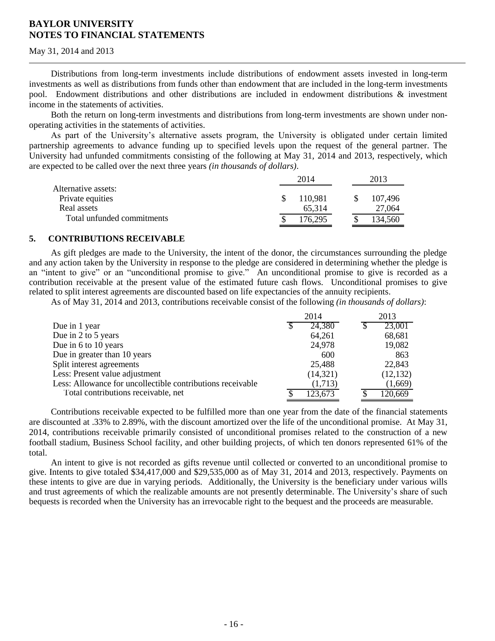#### May 31, 2014 and 2013

Distributions from long-term investments include distributions of endowment assets invested in long-term investments as well as distributions from funds other than endowment that are included in the long-term investments pool. Endowment distributions and other distributions are included in endowment distributions & investment income in the statements of activities.

Both the return on long-term investments and distributions from long-term investments are shown under nonoperating activities in the statements of activities.

As part of the University's alternative assets program, the University is obligated under certain limited partnership agreements to advance funding up to specified levels upon the request of the general partner. The University had unfunded commitments consisting of the following at May 31, 2014 and 2013, respectively, which are expected to be called over the next three years *(in thousands of dollars)*.

|                            | 2014    |  | 2013    |
|----------------------------|---------|--|---------|
| Alternative assets:        |         |  |         |
| Private equities           | 110.981 |  | 107.496 |
| Real assets                | 65.314  |  | 27,064  |
| Total unfunded commitments | 176,295 |  | 134.560 |

#### **5. CONTRIBUTIONS RECEIVABLE**

As gift pledges are made to the University, the intent of the donor, the circumstances surrounding the pledge and any action taken by the University in response to the pledge are considered in determining whether the pledge is an "intent to give" or an "unconditional promise to give." An unconditional promise to give is recorded as a contribution receivable at the present value of the estimated future cash flows. Unconditional promises to give related to split interest agreements are discounted based on life expectancies of the annuity recipients.

As of May 31, 2014 and 2013, contributions receivable consist of the following *(in thousands of dollars)*:

|                                                            | 2014      |  | 2013      |
|------------------------------------------------------------|-----------|--|-----------|
| Due in 1 year                                              | 24,380    |  | 23,001    |
| Due in 2 to 5 years                                        | 64,261    |  | 68,681    |
| Due in 6 to 10 years                                       | 24,978    |  | 19,082    |
| Due in greater than 10 years                               | 600       |  | 863       |
| Split interest agreements                                  | 25,488    |  | 22,843    |
| Less: Present value adjustment                             | (14, 321) |  | (12, 132) |
| Less: Allowance for uncollectible contributions receivable | (1,713)   |  | (1,669)   |
| Total contributions receivable, net                        | 123,673   |  | 120,669   |

Contributions receivable expected to be fulfilled more than one year from the date of the financial statements are discounted at .33% to 2.89%, with the discount amortized over the life of the unconditional promise. At May 31, 2014, contributions receivable primarily consisted of unconditional promises related to the construction of a new football stadium, Business School facility, and other building projects, of which ten donors represented 61% of the total.

An intent to give is not recorded as gifts revenue until collected or converted to an unconditional promise to give. Intents to give totaled \$34,417,000 and \$29,535,000 as of May 31, 2014 and 2013, respectively. Payments on these intents to give are due in varying periods. Additionally, the University is the beneficiary under various wills and trust agreements of which the realizable amounts are not presently determinable. The University's share of such bequests is recorded when the University has an irrevocable right to the bequest and the proceeds are measurable.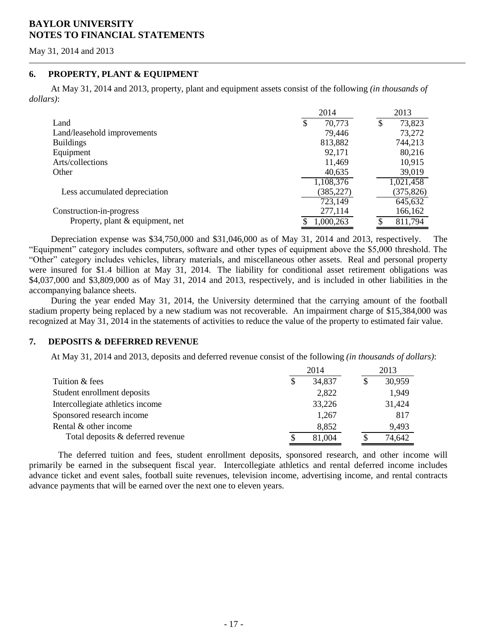May 31, 2014 and 2013

## **6. PROPERTY, PLANT & EQUIPMENT**

At May 31, 2014 and 2013, property, plant and equipment assets consist of the following *(in thousands of dollars)*:

|                                  | 2014        | 2013       |
|----------------------------------|-------------|------------|
| Land                             | 70,773<br>S | 73,823     |
| Land/leasehold improvements      | 79,446      | 73,272     |
| <b>Buildings</b>                 | 813,882     | 744,213    |
| Equipment                        | 92,171      | 80,216     |
| Arts/collections                 | 11,469      | 10,915     |
| Other                            | 40,635      | 39,019     |
|                                  | 1,108,376   | 1,021,458  |
| Less accumulated depreciation    | (385, 227)  | (375, 826) |
|                                  | 723,149     | 645,632    |
| Construction-in-progress         | 277,114     | 166,162    |
| Property, plant & equipment, net | 1,000,263   | 811,794    |

Depreciation expense was \$34,750,000 and \$31,046,000 as of May 31, 2014 and 2013, respectively. The "Equipment" category includes computers, software and other types of equipment above the \$5,000 threshold. The "Other" category includes vehicles, library materials, and miscellaneous other assets. Real and personal property were insured for \$1.4 billion at May 31, 2014. The liability for conditional asset retirement obligations was \$4,037,000 and \$3,809,000 as of May 31, 2014 and 2013, respectively, and is included in other liabilities in the accompanying balance sheets.

During the year ended May 31, 2014, the University determined that the carrying amount of the football stadium property being replaced by a new stadium was not recoverable. An impairment charge of \$15,384,000 was recognized at May 31, 2014 in the statements of activities to reduce the value of the property to estimated fair value.

## **7. DEPOSITS & DEFERRED REVENUE**

At May 31, 2014 and 2013, deposits and deferred revenue consist of the following *(in thousands of dollars)*:

|                                   | 2014   | 2013   |
|-----------------------------------|--------|--------|
| Tuition & fees                    | 34,837 | 30,959 |
| Student enrollment deposits       | 2,822  | 1,949  |
| Intercollegiate athletics income  | 33,226 | 31,424 |
| Sponsored research income         | 1.267  | 817    |
| Rental & other income             | 8,852  | 9,493  |
| Total deposits & deferred revenue | 81,004 | 74,642 |

The deferred tuition and fees, student enrollment deposits, sponsored research, and other income will primarily be earned in the subsequent fiscal year. Intercollegiate athletics and rental deferred income includes advance ticket and event sales, football suite revenues, television income, advertising income, and rental contracts advance payments that will be earned over the next one to eleven years.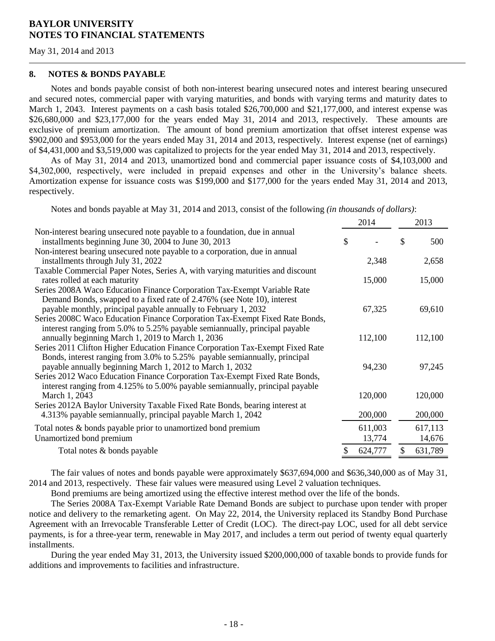May 31, 2014 and 2013

#### **8. NOTES & BONDS PAYABLE**

Notes and bonds payable consist of both non-interest bearing unsecured notes and interest bearing unsecured and secured notes, commercial paper with varying maturities, and bonds with varying terms and maturity dates to March 1, 2043. Interest payments on a cash basis totaled \$26,700,000 and \$21,177,000, and interest expense was \$26,680,000 and \$23,177,000 for the years ended May 31, 2014 and 2013, respectively. These amounts are exclusive of premium amortization. The amount of bond premium amortization that offset interest expense was \$902,000 and \$953,000 for the years ended May 31, 2014 and 2013, respectively. Interest expense (net of earnings) of \$4,431,000 and \$3,519,000 was capitalized to projects for the year ended May 31, 2014 and 2013, respectively.

As of May 31, 2014 and 2013, unamortized bond and commercial paper issuance costs of \$4,103,000 and \$4,302,000, respectively, were included in prepaid expenses and other in the University's balance sheets. Amortization expense for issuance costs was \$199,000 and \$177,000 for the years ended May 31, 2014 and 2013, respectively.

Notes and bonds payable at May 31, 2014 and 2013, consist of the following *(in thousands of dollars)*:

|                                                                                | 2014    |    | 2013    |
|--------------------------------------------------------------------------------|---------|----|---------|
| Non-interest bearing unsecured note payable to a foundation, due in annual     |         |    |         |
| installments beginning June 30, 2004 to June 30, 2013                          | \$      | \$ | 500     |
| Non-interest bearing unsecured note payable to a corporation, due in annual    |         |    |         |
| installments through July 31, 2022                                             | 2,348   |    | 2,658   |
| Taxable Commercial Paper Notes, Series A, with varying maturities and discount |         |    |         |
| rates rolled at each maturity                                                  | 15,000  |    | 15,000  |
| Series 2008A Waco Education Finance Corporation Tax-Exempt Variable Rate       |         |    |         |
| Demand Bonds, swapped to a fixed rate of 2.476% (see Note 10), interest        |         |    |         |
| payable monthly, principal payable annually to February 1, 2032                | 67,325  |    | 69,610  |
| Series 2008C Waco Education Finance Corporation Tax-Exempt Fixed Rate Bonds,   |         |    |         |
| interest ranging from 5.0% to 5.25% payable semiannually, principal payable    |         |    |         |
| annually beginning March 1, 2019 to March 1, 2036                              | 112,100 |    | 112,100 |
| Series 2011 Clifton Higher Education Finance Corporation Tax-Exempt Fixed Rate |         |    |         |
| Bonds, interest ranging from 3.0% to 5.25% payable semiannually, principal     |         |    |         |
| payable annually beginning March 1, 2012 to March 1, 2032                      | 94,230  |    | 97,245  |
| Series 2012 Waco Education Finance Corporation Tax-Exempt Fixed Rate Bonds,    |         |    |         |
| interest ranging from 4.125% to 5.00% payable semiannually, principal payable  |         |    |         |
| March 1, 2043                                                                  | 120,000 |    | 120,000 |
| Series 2012A Baylor University Taxable Fixed Rate Bonds, bearing interest at   |         |    |         |
| 4.313% payable semiannually, principal payable March 1, 2042                   | 200,000 |    | 200,000 |
| Total notes & bonds payable prior to unamortized bond premium                  | 611,003 |    | 617,113 |
| Unamortized bond premium                                                       | 13,774  |    | 14,676  |
| Total notes & bonds payable                                                    | 624,777 | S  | 631,789 |

The fair values of notes and bonds payable were approximately \$637,694,000 and \$636,340,000 as of May 31, 2014 and 2013, respectively. These fair values were measured using Level 2 valuation techniques.

Bond premiums are being amortized using the effective interest method over the life of the bonds.

The Series 2008A Tax-Exempt Variable Rate Demand Bonds are subject to purchase upon tender with proper notice and delivery to the remarketing agent. On May 22, 2014, the University replaced its Standby Bond Purchase Agreement with an Irrevocable Transferable Letter of Credit (LOC). The direct-pay LOC, used for all debt service payments, is for a three-year term, renewable in May 2017, and includes a term out period of twenty equal quarterly installments.

During the year ended May 31, 2013, the University issued \$200,000,000 of taxable bonds to provide funds for additions and improvements to facilities and infrastructure.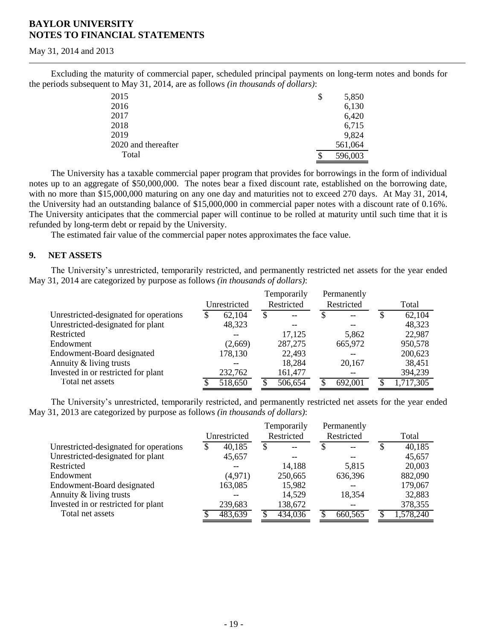#### May 31, 2014 and 2013

Excluding the maturity of commercial paper, scheduled principal payments on long-term notes and bonds for the periods subsequent to May 31, 2014, are as follows *(in thousands of dollars)*:

| 2015                | \$<br>5,850   |
|---------------------|---------------|
| 2016                | 6,130         |
| 2017                | 6,420         |
| 2018                | 6,715         |
| 2019                | 9,824         |
| 2020 and thereafter | 561,064       |
| Total               | \$<br>596,003 |

The University has a taxable commercial paper program that provides for borrowings in the form of individual notes up to an aggregate of \$50,000,000. The notes bear a fixed discount rate, established on the borrowing date, with no more than \$15,000,000 maturing on any one day and maturities not to exceed 270 days. At May 31, 2014, the University had an outstanding balance of \$15,000,000 in commercial paper notes with a discount rate of 0.16%. The University anticipates that the commercial paper will continue to be rolled at maturity until such time that it is refunded by long-term debt or repaid by the University.

The estimated fair value of the commercial paper notes approximates the face value.

#### **9. NET ASSETS**

The University's unrestricted, temporarily restricted, and permanently restricted net assets for the year ended May 31, 2014 are categorized by purpose as follows *(in thousands of dollars)*:

|                                        |              | Temporarily | Permanently |   |           |
|----------------------------------------|--------------|-------------|-------------|---|-----------|
|                                        | Unrestricted | Restricted  | Restricted  |   | Total     |
| Unrestricted-designated for operations | \$<br>62,104 |             |             | S | 62,104    |
| Unrestricted-designated for plant      | 48,323       |             |             |   | 48,323    |
| Restricted                             |              | 17,125      | 5,862       |   | 22,987    |
| Endowment                              | (2,669)      | 287,275     | 665,972     |   | 950,578   |
| Endowment-Board designated             | 178,130      | 22,493      |             |   | 200,623   |
| Annuity $&$ living trusts              |              | 18,284      | 20,167      |   | 38,451    |
| Invested in or restricted for plant    | 232,762      | 161,477     |             |   | 394,239   |
| Total net assets                       | 518,650      | 506,654     | 692,001     |   | 1,717,305 |

The University's unrestricted, temporarily restricted, and permanently restricted net assets for the year ended May 31, 2013 are categorized by purpose as follows *(in thousands of dollars)*:

|              |              | Restricted |             |         |                           |           |  | Total |
|--------------|--------------|------------|-------------|---------|---------------------------|-----------|--|-------|
| \$<br>40,185 | S            |            |             |         |                           | 40,185    |  |       |
| 45,657       |              |            |             |         |                           | 45,657    |  |       |
| --           |              | 14,188     |             | 5,815   |                           | 20,003    |  |       |
| (4,971)      |              | 250,665    |             | 636,396 |                           | 882,090   |  |       |
| 163,085      |              | 15,982     |             |         |                           | 179,067   |  |       |
| --           |              | 14,529     |             | 18,354  |                           | 32,883    |  |       |
| 239,683      |              | 138,672    |             | $- -$   |                           | 378,355   |  |       |
| 483,639      |              | 434,036    |             | 660,565 |                           | 1,578,240 |  |       |
|              | Unrestricted |            | Temporarily |         | Permanently<br>Restricted |           |  |       |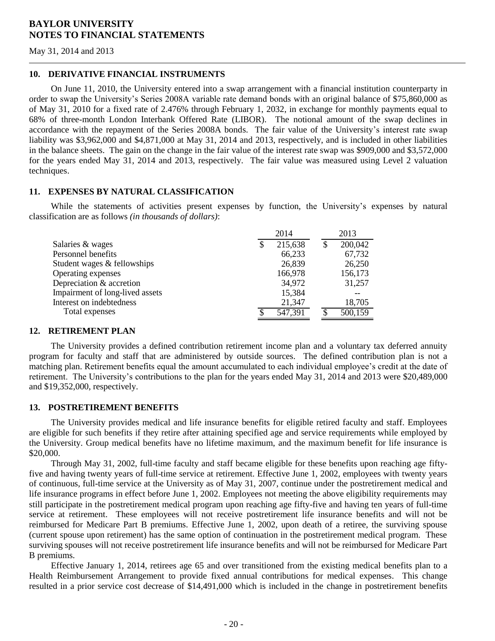May 31, 2014 and 2013

#### **10. DERIVATIVE FINANCIAL INSTRUMENTS**

On June 11, 2010, the University entered into a swap arrangement with a financial institution counterparty in order to swap the University's Series 2008A variable rate demand bonds with an original balance of \$75,860,000 as of May 31, 2010 for a fixed rate of 2.476% through February 1, 2032, in exchange for monthly payments equal to 68% of three-month London Interbank Offered Rate (LIBOR). The notional amount of the swap declines in accordance with the repayment of the Series 2008A bonds. The fair value of the University's interest rate swap liability was \$3,962,000 and \$4,871,000 at May 31, 2014 and 2013, respectively, and is included in other liabilities in the balance sheets. The gain on the change in the fair value of the interest rate swap was \$909,000 and \$3,572,000 for the years ended May 31, 2014 and 2013, respectively. The fair value was measured using Level 2 valuation techniques.

#### **11. EXPENSES BY NATURAL CLASSIFICATION**

While the statements of activities present expenses by function, the University's expenses by natural classification are as follows *(in thousands of dollars)*:

|                                 | 2014          | 2013    |
|---------------------------------|---------------|---------|
| Salaries & wages                | \$<br>215,638 | 200,042 |
| Personnel benefits              | 66,233        | 67,732  |
| Student wages & fellowships     | 26,839        | 26,250  |
| Operating expenses              | 166,978       | 156,173 |
| Depreciation & accretion        | 34,972        | 31,257  |
| Impairment of long-lived assets | 15,384        |         |
| Interest on indebtedness        | 21,347        | 18,705  |
| Total expenses                  | 547,391       | 500,159 |

#### **12. RETIREMENT PLAN**

The University provides a defined contribution retirement income plan and a voluntary tax deferred annuity program for faculty and staff that are administered by outside sources. The defined contribution plan is not a matching plan. Retirement benefits equal the amount accumulated to each individual employee's credit at the date of retirement. The University's contributions to the plan for the years ended May 31, 2014 and 2013 were \$20,489,000 and \$19,352,000, respectively.

#### **13. POSTRETIREMENT BENEFITS**

The University provides medical and life insurance benefits for eligible retired faculty and staff. Employees are eligible for such benefits if they retire after attaining specified age and service requirements while employed by the University. Group medical benefits have no lifetime maximum, and the maximum benefit for life insurance is \$20,000.

Through May 31, 2002, full-time faculty and staff became eligible for these benefits upon reaching age fiftyfive and having twenty years of full-time service at retirement. Effective June 1, 2002, employees with twenty years of continuous, full-time service at the University as of May 31, 2007, continue under the postretirement medical and life insurance programs in effect before June 1, 2002. Employees not meeting the above eligibility requirements may still participate in the postretirement medical program upon reaching age fifty-five and having ten years of full-time service at retirement. These employees will not receive postretirement life insurance benefits and will not be reimbursed for Medicare Part B premiums. Effective June 1, 2002, upon death of a retiree, the surviving spouse (current spouse upon retirement) has the same option of continuation in the postretirement medical program. These surviving spouses will not receive postretirement life insurance benefits and will not be reimbursed for Medicare Part B premiums.

Effective January 1, 2014, retirees age 65 and over transitioned from the existing medical benefits plan to a Health Reimbursement Arrangement to provide fixed annual contributions for medical expenses. This change resulted in a prior service cost decrease of \$14,491,000 which is included in the change in postretirement benefits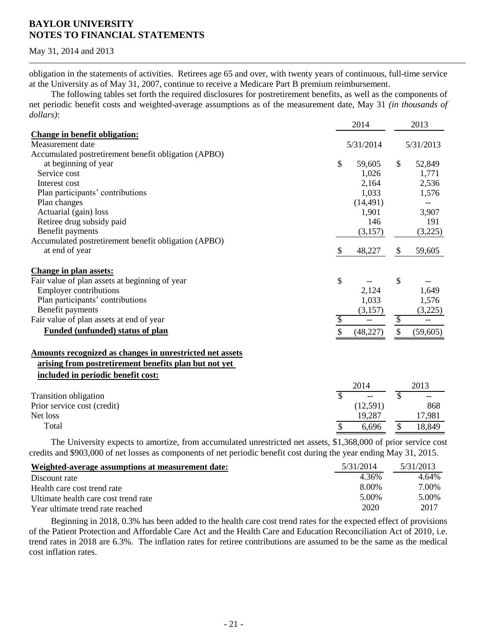#### May 31, 2014 and 2013

obligation in the statements of activities. Retirees age 65 and over, with twenty years of continuous, full-time service at the University as of May 31, 2007, continue to receive a Medicare Part B premium reimbursement.

The following tables set forth the required disclosures for postretirement benefits, as well as the components of net periodic benefit costs and weighted-average assumptions as of the measurement date, May 31 *(in thousands of dollars)*:

|                                                                                                                                                         | 2014                     |           | 2013                       |           |
|---------------------------------------------------------------------------------------------------------------------------------------------------------|--------------------------|-----------|----------------------------|-----------|
| Change in benefit obligation:                                                                                                                           |                          |           |                            |           |
| Measurement date                                                                                                                                        |                          | 5/31/2014 |                            | 5/31/2013 |
| Accumulated postretirement benefit obligation (APBO)                                                                                                    |                          |           |                            |           |
| at beginning of year                                                                                                                                    | $\mathbb{S}$             | 59,605    | \$                         | 52,849    |
| Service cost                                                                                                                                            |                          | 1,026     |                            | 1,771     |
| Interest cost                                                                                                                                           |                          | 2,164     |                            | 2,536     |
| Plan participants' contributions                                                                                                                        |                          | 1,033     |                            | 1,576     |
| Plan changes                                                                                                                                            |                          | (14, 491) |                            |           |
| Actuarial (gain) loss                                                                                                                                   |                          | 1,901     |                            | 3,907     |
| Retiree drug subsidy paid                                                                                                                               |                          | 146       |                            | 191       |
| Benefit payments                                                                                                                                        |                          | (3,157)   |                            | (3,225)   |
| Accumulated postretirement benefit obligation (APBO)                                                                                                    |                          |           |                            |           |
| at end of year                                                                                                                                          | <sup>S</sup>             | 48,227    | $\boldsymbol{\mathsf{S}}$  | 59,605    |
| Change in plan assets:                                                                                                                                  |                          |           |                            |           |
| Fair value of plan assets at beginning of year                                                                                                          | \$                       |           | \$                         |           |
| <b>Employer contributions</b>                                                                                                                           |                          | 2,124     |                            | 1,649     |
| Plan participants' contributions                                                                                                                        |                          | 1,033     |                            | 1,576     |
| Benefit payments                                                                                                                                        |                          | (3,157)   |                            | (3,225)   |
| Fair value of plan assets at end of year                                                                                                                | \$.                      | --        | $\boldsymbol{\mathcal{S}}$ | $- -$     |
| Funded (unfunded) status of plan                                                                                                                        |                          | (48, 227) | \$                         | (59, 605) |
| Amounts recognized as changes in unrestricted net assets<br>arising from postretirement benefits plan but not yet<br>included in periodic benefit cost: |                          |           |                            |           |
|                                                                                                                                                         |                          | 2014      |                            | 2013      |
| <b>Transition obligation</b>                                                                                                                            | $\overline{\mathcal{S}}$ |           | $\overline{\mathcal{S}}$   |           |
| Prior service cost (credit)                                                                                                                             |                          | (12,591)  |                            | 868       |
| Net loss                                                                                                                                                |                          | 19,287    |                            | 17,981    |
| Total                                                                                                                                                   | \$                       | 6,696     | \$                         | 18,849    |
|                                                                                                                                                         |                          |           |                            |           |

The University expects to amortize, from accumulated unrestricted net assets, \$1,368,000 of prior service cost credits and \$903,000 of net losses as components of net periodic benefit cost during the year ending May 31, 2015.

| Weighted-average assumptions at measurement date: | 5/31/2014 | 5/31/2013 |
|---------------------------------------------------|-----------|-----------|
| Discount rate                                     | 4.36%     | 4.64%     |
| Health care cost trend rate                       | 8.00%     | 7.00%     |
| Ultimate health care cost trend rate              | 5.00%     | 5.00%     |
| Year ultimate trend rate reached                  | 2020      | 2017      |

Beginning in 2018, 0.3% has been added to the health care cost trend rates for the expected effect of provisions of the Patient Protection and Affordable Care Act and the Health Care and Education Reconciliation Act of 2010, i.e. trend rates in 2018 are 6.3%. The inflation rates for retiree contributions are assumed to be the same as the medical cost inflation rates.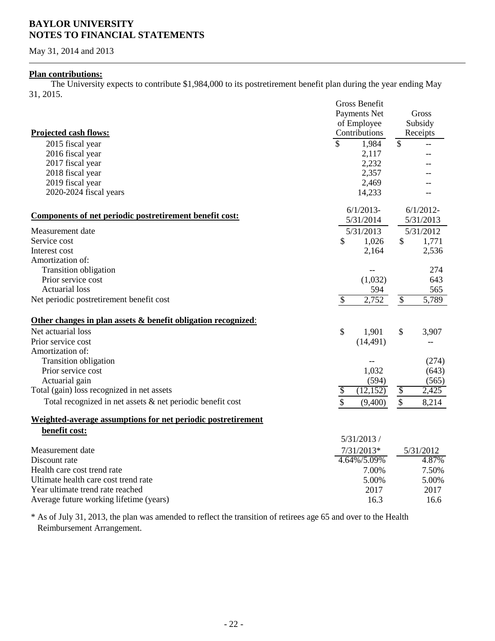May 31, 2014 and 2013

## **Plan contributions:**

The University expects to contribute \$1,984,000 to its postretirement benefit plan during the year ending May 31, 2015.

|                                                               | Gross Benefit                     |                                       |  |  |  |  |  |
|---------------------------------------------------------------|-----------------------------------|---------------------------------------|--|--|--|--|--|
|                                                               | Payments Net                      | Gross<br>Subsidy<br>Receipts          |  |  |  |  |  |
|                                                               | of Employee                       |                                       |  |  |  |  |  |
| <b>Projected cash flows:</b>                                  | Contributions                     |                                       |  |  |  |  |  |
| 2015 fiscal year                                              | \$<br>1,984                       | $\overline{\mathcal{S}}$              |  |  |  |  |  |
| 2016 fiscal year                                              | 2,117                             |                                       |  |  |  |  |  |
| 2017 fiscal year                                              | 2,232                             |                                       |  |  |  |  |  |
| 2018 fiscal year                                              | 2,357                             |                                       |  |  |  |  |  |
| 2019 fiscal year                                              | 2,469                             |                                       |  |  |  |  |  |
| 2020-2024 fiscal years                                        | 14,233                            |                                       |  |  |  |  |  |
| Components of net periodic postretirement benefit cost:       | $6/1/2013-$                       | $6/1/2012$ -<br>5/31/2013             |  |  |  |  |  |
|                                                               | 5/31/2014                         |                                       |  |  |  |  |  |
| Measurement date                                              | 5/31/2013                         | 5/31/2012                             |  |  |  |  |  |
| Service cost                                                  | \$<br>1,026                       | \$<br>1,771                           |  |  |  |  |  |
| Interest cost                                                 | 2,164                             | 2,536                                 |  |  |  |  |  |
| Amortization of:                                              |                                   |                                       |  |  |  |  |  |
| <b>Transition obligation</b>                                  | --                                | 274                                   |  |  |  |  |  |
| Prior service cost                                            | (1,032)                           | 643                                   |  |  |  |  |  |
| <b>Actuarial loss</b>                                         | 594                               | 565                                   |  |  |  |  |  |
| Net periodic postretirement benefit cost                      | 2,752<br>$\overline{\mathcal{S}}$ | $\overline{\$}$<br>$\overline{5,789}$ |  |  |  |  |  |
| Other changes in plan assets & benefit obligation recognized: |                                   |                                       |  |  |  |  |  |
| Net actuarial loss                                            | \$<br>1,901                       | \$<br>3,907                           |  |  |  |  |  |
| Prior service cost                                            | (14, 491)                         |                                       |  |  |  |  |  |
| Amortization of:                                              |                                   |                                       |  |  |  |  |  |
| <b>Transition obligation</b>                                  | --                                | (274)                                 |  |  |  |  |  |
| Prior service cost                                            | 1,032                             | (643)                                 |  |  |  |  |  |
| Actuarial gain                                                | (594)                             | (565)                                 |  |  |  |  |  |
| Total (gain) loss recognized in net assets                    | \$<br>(12, 152)                   | $\sqrt[6]{\frac{1}{2}}$<br>2,425      |  |  |  |  |  |
| Total recognized in net assets & net periodic benefit cost    | $\mathcal{S}$<br>(9,400)          | $\mathcal{S}$<br>8,214                |  |  |  |  |  |
| Weighted-average assumptions for net periodic postretirement  |                                   |                                       |  |  |  |  |  |
| benefit cost:                                                 |                                   |                                       |  |  |  |  |  |
|                                                               | 5/31/2013/                        |                                       |  |  |  |  |  |
| Measurement date                                              | $7/31/2013*$                      | 5/31/2012                             |  |  |  |  |  |
| Discount rate                                                 | 4.64%/5.09%                       | 4.87%                                 |  |  |  |  |  |
| Health care cost trend rate                                   | 7.00%                             | 7.50%                                 |  |  |  |  |  |
| Ultimate health care cost trend rate                          | 5.00%                             | 5.00%                                 |  |  |  |  |  |
| Year ultimate trend rate reached                              | 2017                              | 2017                                  |  |  |  |  |  |
| Average future working lifetime (years)                       | 16.3                              | 16.6                                  |  |  |  |  |  |

\* As of July 31, 2013, the plan was amended to reflect the transition of retirees age 65 and over to the Health Reimbursement Arrangement.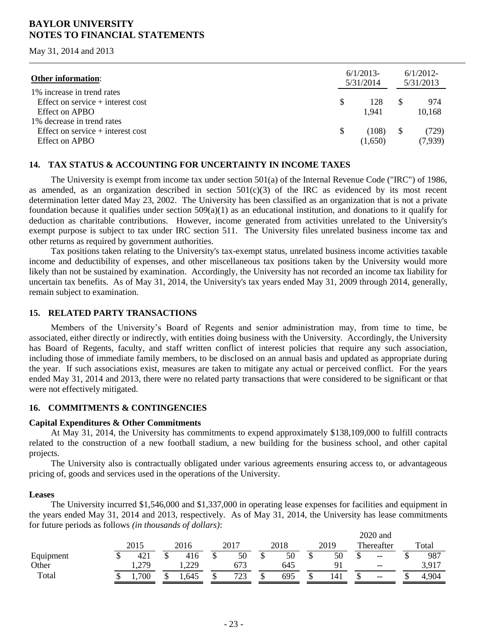May 31, 2014 and 2013

| <b>Other information:</b>           |  | $6/1/2013$ -<br>5/31/2014 | $6/1/2012$ -<br>5/31/2013 |         |  |
|-------------------------------------|--|---------------------------|---------------------------|---------|--|
| 1% increase in trend rates          |  |                           |                           |         |  |
| Effect on service $+$ interest cost |  | 128                       |                           | 974     |  |
| Effect on APBO                      |  | 1.941                     |                           | 10,168  |  |
| 1% decrease in trend rates          |  |                           |                           |         |  |
| Effect on service $+$ interest cost |  | (108)                     |                           | (729)   |  |
| Effect on APBO                      |  | (1,650)                   |                           | (7,939) |  |

## **14. TAX STATUS & ACCOUNTING FOR UNCERTAINTY IN INCOME TAXES**

The University is exempt from income tax under section 501(a) of the Internal Revenue Code ("IRC") of 1986, as amended, as an organization described in section  $501(c)(3)$  of the IRC as evidenced by its most recent determination letter dated May 23, 2002. The University has been classified as an organization that is not a private foundation because it qualifies under section  $509(a)(1)$  as an educational institution, and donations to it qualify for deduction as charitable contributions. However, income generated from activities unrelated to the University's exempt purpose is subject to tax under IRC section 511. The University files unrelated business income tax and other returns as required by government authorities.

Tax positions taken relating to the University's tax-exempt status, unrelated business income activities taxable income and deductibility of expenses, and other miscellaneous tax positions taken by the University would more likely than not be sustained by examination. Accordingly, the University has not recorded an income tax liability for uncertain tax benefits. As of May 31, 2014, the University's tax years ended May 31, 2009 through 2014, generally, remain subject to examination.

#### **15. RELATED PARTY TRANSACTIONS**

Members of the University's Board of Regents and senior administration may, from time to time, be associated, either directly or indirectly, with entities doing business with the University. Accordingly, the University has Board of Regents, faculty, and staff written conflict of interest policies that require any such association, including those of immediate family members, to be disclosed on an annual basis and updated as appropriate during the year. If such associations exist, measures are taken to mitigate any actual or perceived conflict. For the years ended May 31, 2014 and 2013, there were no related party transactions that were considered to be significant or that were not effectively mitigated.

## **16. COMMITMENTS & CONTINGENCIES**

#### **Capital Expenditures & Other Commitments**

At May 31, 2014, the University has commitments to expend approximately \$138,109,000 to fulfill contracts related to the construction of a new football stadium, a new building for the business school, and other capital projects.

The University also is contractually obligated under various agreements ensuring access to, or advantageous pricing of, goods and services used in the operations of the University.

#### **Leases**

The University incurred \$1,546,000 and \$1,337,000 in operating lease expenses for facilities and equipment in the years ended May 31, 2014 and 2013, respectively. As of May 31, 2014, the University has lease commitments for future periods as follows *(in thousands of dollars)*:

|           |       |       |      |   |      | 2020 and |      |  |                                       |   |       |
|-----------|-------|-------|------|---|------|----------|------|--|---------------------------------------|---|-------|
|           | 2015  | 2016  | 2017 |   | 2018 |          | 2019 |  | Thereafter                            |   | Total |
| Equipment | 421   | 416   | 50   | ₼ | 50   | ጦ<br>◡   | 50   |  | $\hspace{0.05cm}$ – $\hspace{0.05cm}$ | ω | 987   |
| Other     | 1,279 | 1,229 | 673  |   | 645  |          |      |  | $\hspace{0.05cm}$ – $\hspace{0.05cm}$ |   | 3,917 |
| Total     | 1,700 | .645  | 723  | ₼ | 695  | ◡        | 141  |  | $- -$                                 |   | 4,904 |